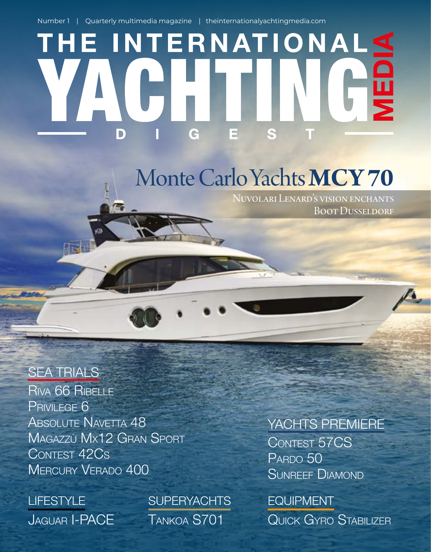Number 1 | Quarterly multimedia magazine | theinternationalyachtingmedia.com

# THE INTERNATIONALS G D

### Monte Carlo Yachts MCY 70

Nuvolari Lenard's vision enchants **BOOT DUSSELDORF** 

#### SEA TRIALS

RIVA 66 RIBELLE PRIVILEGE 6 ABSOLUTE NAVETTA 48 MAGAZZÙ MX12 GRAN SPORT CONTEST 42CS MERCURY VERADO 400

JAGUAR I-PACE **LIFESTYLE** 

TANKOA S701 **SUPERYACHTS** 

#### CONTEST 57CS YACHTS PREMIERE

PARDO 50 SUNREEF DIAMOND

QUICK GYRO STABILIZER EQUIPMENT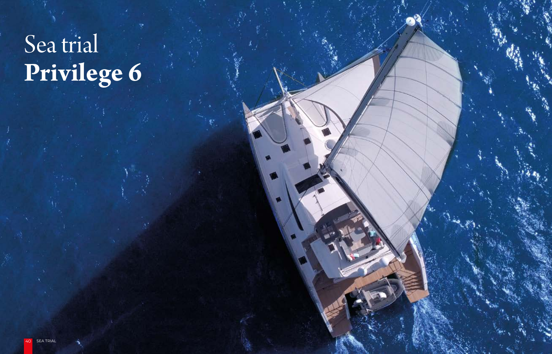# **Privilege 6** Sea trial

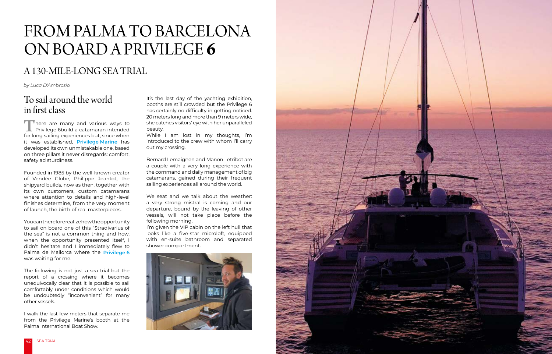

#### A 130-MILE-LONG SEA TRIAL

## FROM PALMA TO BARCELONA ON BOARD A PRIVILEGE **6**

#### To sail around the world in frst class

There are many and various ways to<br>Privilege 6build a catamaran intended<br>for long sailing experiences but since when Privilege 6build a catamaran intended for long sailing experiences but, since when it was established, **[Privilege Marine](https://www.yachts.group/gb/privilege.html)** has developed its own unmistakable one, based on three pillars it never disregards: comfort, safety ad sturdiness.

Founded in 1985 by the well-known creator of Vendée Globe, Philippe Jeantot, the shipyard builds, now as then, together with its own customers, custom catamarans where attention to details and high-level finishes determine, from the very moment of launch, the birth of real masterpieces.

It's the last day of the yachting exhibition, booths are still crowded but the Privilege 6 has certainly no difficulty in getting noticed. 20 meters long and more than 9 meters wide, she catches visitors' eye with her unparalleled beauty.

You can therefore realize how the opportunity to sail on board one of this "Stradivarius of the sea" is not a common thing and how, when the opportunity presented itself, I didn't hesitate and I immediately flew to Palma de Mallorca where the **[Privilege 6](http://privilegecatamaransamerica.com/privilege-catamaran-6-series/)** was waiting for me.

The following is not just a sea trial but the report of a crossing where it becomes unequivocally clear that it is possible to sail comfortably under conditions which would be undoubtedly "inconvenient" for many other vessels.

I walk the last few meters that separate me from the Privilege Marine's booth at the Palma International Boat Show.

While I am lost in my thoughts, I'm introduced to the crew with whom I'll carry out my crossing.

Bernard Lemaignen and Manon Letribot are a couple with a very long experience with the command and daily management of big catamarans, gained during their frequent sailing experiences all around the world.

We seat and we talk about the weather: a very strong mistral is coming and our departure, bound by the leaving of other vessels, will not take place before the following morning.

I'm given the VIP cabin on the left hull that looks like a five-star microloft, equipped with en-suite bathroom and separated shower compartment.



*by Luca D'Ambrosio*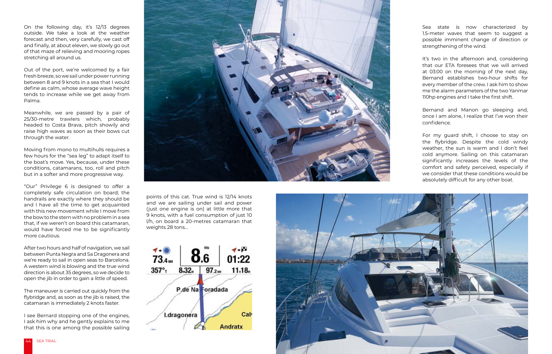

On the following day, it's 12/13 degrees outside. We take a look at the weather forecast and then, very carefully, we cast off and finally, at about eleven, we slowly go out of that maze of relieving and mooring ropes stretching all around us.

Out of the port, we're welcomed by a fair fresh breeze, so we sail under power running between 8 and 9 knots in a sea that I would define as calm, whose average wave height tends to increase while we get away from Palma.

Meanwhile, we are passed by a pair of 25/30-metre trawlers which, probably headed to Costa Brava, pitch showily and raise high waves as soon as their bows cut through the water.

Moving from mono to multihulls requires a few hours for the "sea leg" to adapt itself to the boat's move. Yes, because, under these conditions, catamarans, too, roll and pitch but in a softer and more progressive way.

"Our" Privilege 6 is designed to offer a completely safe circulation on board; the handrails are exactly where they should be and I have all the time to get acquainted with this new movement while I move from the bow to the stern with no problem in a sea that, if we weren't on board this catamaran, would have forced me to be significantly more cautious.

Bernand and Manon go sleeping and, once I am alone, I realize that I've won their confidence.

For my guard shift, I choose to stay on the fybridge. Despite the cold windy weather, the sun is warm and I don't feel cold anymore. Sailing on this catamaran significantly increases the levels of the comfort and safety perceived, especially if we consider that these conditions would be absolutely difficult for any other boat.

After two hours and half of navigation, we sail between Punta Negra and Sa Dragonera and we're ready to sail in open seas to Barcelona. A western wind is blowing and the true wind direction is about 35 degrees, so we decide to open the jib in order to gain a little of speed.

The maneuver is carried out quickly from the fybridge and, as soon as the jib is raised, the catamaran is immediately 2 knots faster.

I see Bernard stopping one of the engines, I ask him why and he gently explains to me that this is one among the possible sailing



points of this cat. True wind is 12/14 knots and we are sailing under sail and power (just one engine is on) at little more that 9 knots, with a fuel consumption of just 10 l/h, on board a 20-metres catamaran that weights 28 tons…



Sea state is now characterized by 1.5-meter waves that seem to suggest a possible imminent change of direction or strengthening of the wind.

It's two in the afternoon and, considering that our ETA foresees that we will arrived at 03:00 on the morning of the next day, Bernand establishes two-hour shifts for every member of the crew. I ask him to show me the alarm parameters of the two Yanmar 110hp engines and I take the first shift.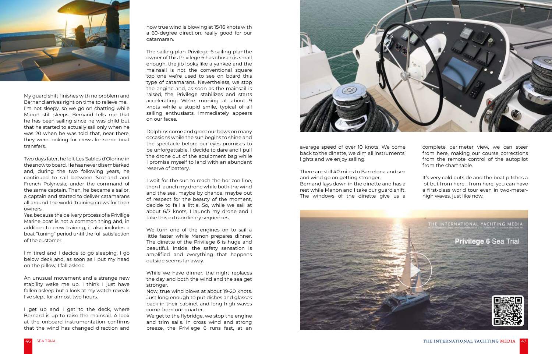

My guard shift finishes with no problem and Bernand arrives right on time to relieve me. I'm not sleepy, so we go on chatting while Maron still sleeps. Bernand tells me that he has been sailing since he was child but that he started to actually sail only when he was 20 when he was told that, near there, they were looking for crews for some boat transfers.

Two days later, he left Les Sables d'Olonne in the snow to board. He has never disembarked and, during the two following years, he continued to sail between Scotland and French Polynesia, under the command of the same captain. Then, he became a sailor, a captain and started to deliver catamarans all around the world, training crews for their owners.

I get up and I get to the deck, where Bernard is up to raise the mainsail. A look at the onboard instrumentation confirms that the wind has changed direction and

Yes, because the delivery process of a Privilige Marine boat is not a common thing and, in addition to crew training, it also includes a boat "tuning" period until the full satisfaction of the customer.

I'm tired and I decide to go sleeping. I go below deck and, as soon as I put my head on the pillow, I fall asleep.

An unusual movement and a strange new stability wake me up. I think I just have fallen asleep but a look at my watch reveals I've slept for almost two hours.

now true wind is blowing at 15/16 knots with a 60-degree direction, really good for our catamaran.

We get to the flybridge, we stop the engine and trim sails. In cross wind and strong breeze, the Privilege 6 runs fast, at an



The sailing plan Privilege 6 sailing planthe owner of this Privilege 6 has chosen is small enough, the jib looks like a yankee and the mainsail is not the conventional square top one we're used to see on board this type of catamarans. Nevertheless, we stop the engine and, as soon as the mainsail is raised, the Privilege stabilizes and starts accelerating. We're running at about 9 knots while a stupid smile, typical of all sailing enthusiasts, immediately appears on our faces.

Dolphins come and greet our bows on many occasions while the sun begins to shine and the spectacle before our eyes promises to be unforgettable. I decide to dare and I pull the drone out of the equipment bag while I promise myself to land with an abundant reserve of battery.

I wait for the sun to reach the horizon line, then I launch my drone while both the wind and the sea, maybe by chance, maybe out of respect for the beauty of the moment, decide to fall a little. So, while we sail at about 6/7 knots, I launch my drone and I take this extraordinary sequences.

We turn one of the engines on to sail a little faster while Manon prepares dinner. The dinette of the Privilege 6 is huge and beautiful. Inside, the safety sensation is amplified and everything that happens outside seems far away.

While we have dinner, the night replaces the day and both the wind and the sea get stronger.

Now, true wind blows at about 19-20 knots. Just long enough to put dishes and glasses back in their cabinet and long high waves come from our quarter.

average speed of over 10 knots. We come back to the dinette, we dim all instruments' lights and we enjoy sailing.

There are still 40 miles to Barcelona and sea and wind go on getting stronger. Bernand lays down in the dinette and has a rest while Manon and I take our guard shift. The windows of the dinette give us a



complete perimeter view, we can steer from here, making our course corrections from the remote control of the autopilot from the chart table.

It's very cold outside and the boat pitches a lot but from here… from here, you can have a first-class world tour even in two-meterhigh waves, just like now.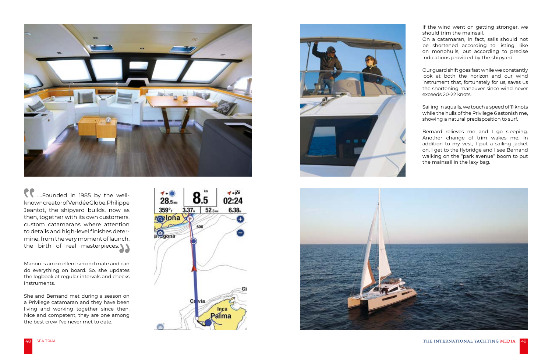Manon is an excellent second mate and can do everything on board. So, she updates the logbook at regular intervals and checks instruments.



....Founded in 1985 by the wellknown creator of Vendée Globe, Philippe Jeantot, the shipyard builds, now as then, together with its own customers, custom catamarans where attention to details and high-level finishes determine, from the very moment of launch, the birth of real masterpieces.

She and Bernand met during a season on a Privilege catamaran and they have been living and working together since then. Nice and competent, they are one among the best crew I've never met to date.







If the wind went on getting stronger, we should trim the mainsail.

On a catamaran, in fact, sails should not be shortened according to listing, like on monohulls, but according to precise indications provided by the shipyard.

Our guard shift goes fast while we constantly look at both the horizon and our wind instrument that, fortunately for us, saves us the shortening maneuver since wind never exceeds 20-22 knots.

Sailing in squalls, we touch a speed of 11 knots while the hulls of the Privilege 6 astonish me, showing a natural predisposition to surf.

Bernard relieves me and I go sleeping. Another change of trim wakes me. In addition to my vest, I put a sailing jacket on, I get to the fybridge and I see Bernand walking on the "park avenue" boom to put the mainsail in the laxy bag.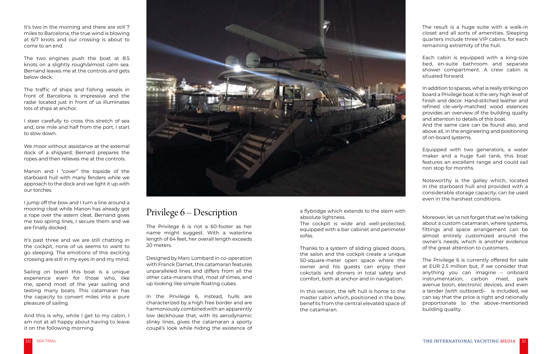It's two in the morning and there are still 7 miles to Barcelona, the true wind is blowing at 6/7 knots and our crossing is about to come to an end.

The traffic of ships and fishing vessels in front of Barcelona is impressive and the radar located just in front of us illuminates lots of ships at anchor.

The two engines push the boat at 8.5 knots on a slightly rough/almost calm sea. Bernand leaves me at the controls and gets below deck.

I jump off the bow and I turn a line around a mooring cleat while Manon has already got a rope over the astern cleat. Bernand gives me two spring lines, I secure them and we are finally docked.

I steer carefully to cross this stretch of sea and, one mile and half from the port, I start to slow down.

We moor without assistance at the external dock of a shipyard; Bernard prepares the ropes and then relieves me at the controls.

Manon and I "cover" the topside of the starboard hull with many fenders while we approach to the dock and we light it up with our torches.

> Designed by Marc Lombard in co-operation with Franck Darnet, this catamaran features unparalleled lines and differs from all the other cata-marans that, most of times, end up looking like simple floating cubes.

It's past three and we are still chatting in the cockpit, none of us seems to want to go sleeping. The emotions of this exciting crossing are still in my eyes in and my mind.

Sailing on board this boat is a unique experience even for those who, like me, spend most of the year sailing and testing many boats. This catamaran has the capacity to convert miles into a pure pleasure of sailing.

And this is why, while I get to my cabin, I am not at all happy about having to leave it on the following morning.



#### Privilege 6 – Description

The Privilege 6 is not a 60-footer as her name might suggest. With a waterline length of 64 feet, her overall length exceeds 20 meters.

In the Privilege 6, instead, hulls are characterized by a high free border and are harmoniously combined with an apparently low deckhouse that, with its aerodynamic slinky lines, gives the catamaran a sporty coupé's look while hiding the existence of a fybridge which extends to the stern with absolute lightness.

The cockpit is wide and well-protected, equipped with a bar cabinet and perimeter sofas.

Thanks to a system of sliding glazed doors, the salon and the cockpit create a unique 50-square-meter open space where the owner and his guests can enjoy their cokctails and dinners in total safety and comfort, both at anchor and in navigation.

In this version, the left hull is home to the master cabin which, positioned in the bow, benefits from the central elevated space of the catamaran.

The result is a huge suite with a walk-in closet and all sorts of amenities. Sleeping quarters include three VIP cabins, for each remaining extremity of the hull.

Each cabin is equipped with a king-size bed, en-suite bathroom and separate shower compartment. A crew cabin is situated forward.

In addition to spaces, what is really striking on board a Privilege boat is the very high level of finish and décor. Hand-stitched leather and refined cle-verly-matched wood essences provides an overview of the building quality and attention to details of this boat.

And the same care can be found also, and above all, in the engineering and positioning of on-board systems.

Equipped with two generators, a water maker and a huge fuel tank, this boat features an excellent range and could sail non stop for months.

Noteworthy is the galley which, located in the starboard hull and provided with a considerable storage capacity, can be used even in the harshest conditions.

Moreover, let us not forget that we're talking about a custom catamaran, where systems, fittings and space arrangement can be almost entirely customized around the owner's needs, which is another evidence of the great attention to customers.

The Privilege 6 is currently offered for sale at EUR 2.5 million but, if we consider that anything you can imagine – onboard instrumentation, carbon mast, park avenue boon, electronic devices, and even a tender (with outboard)- is included, we can say that the price is right and rationally proportionate to the above-mentioned building quality.